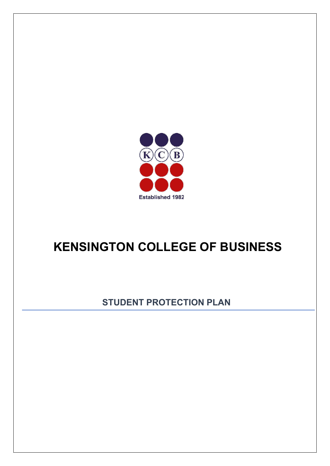

# **KENSINGTON COLLEGE OF BUSINESS**

**STUDENT PROTECTION PLAN**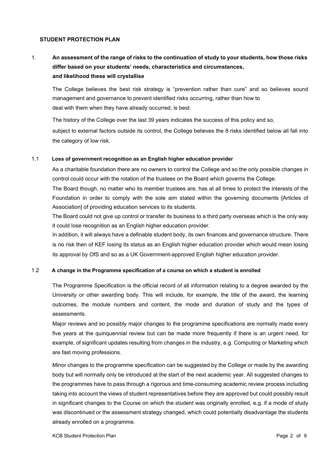## **STUDENT PROTECTION PLAN**

## 1. An assessment of the range of risks to the continuation of study to your students, how those risks **differ based on your students' needs, characteristics and circumstances, and likelihood these will crystallise**

The College believes the best risk strategy is "prevention rather than cure" and so believes sound management and governance to prevent identified risks occurring, rather than how to deal with them when they have already occurred, is best.

The history of the College over the last 39 years indicates the success of this policy and so, subject to external factors outside its control, the College believes the 8 risks identified below all fall into the category of low risk.

#### 1.1 **Loss of government recognition as an English higher education provider**

As a charitable foundation there are no owners to control the College and so the only possible changes in control could occur with the rotation of the trustees on the Board which governs the College.

The Board though, no matter who its member trustees are, has at all times to protect the interests of the Foundation in order to comply with the sole aim stated within the governing documents [Articles of Association] of providing education services to its students.

The Board could not give up control or transfer its business to a third party overseas which is the only way it could lose recognition as an English higher education provider.

In addition, it will always have a definable student body, its own finances and governance structure. There is no risk then of KEF losing its status as an English higher education provider which would mean losing its approval by OfS and so as a UK Government-approved English higher education provider.

#### 1.2 **A change in the Programme specification of a course on which a student is enrolled**

The Programme Specification is the official record of all information relating to a degree awarded by the University or other awarding body. This will include, for example, the title of the award, the learning outcomes, the module numbers and content, the mode and duration of study and the types of assessments.

Major reviews and so possibly major changes to the programme specifications are normally made every five years at the quinquennial review but can be made more frequently if there is an urgent need, for example, of significant updates resulting from changes in the industry, e.g. Computing or Marketing which are fast moving professions.

Minor changes to the programme specification can be suggested by the College or made by the awarding body but will normally only be introduced at the start of the next academic year. All suggested changes to the programmes have to pass through a rigorous and time-consuming academic review process including taking into account the views of student representatives before they are approved but could possibly result in significant changes to the Course on which the student was originally enrolled, e.g. if a mode of study was discontinued or the assessment strategy changed, which could potentially disadvantage the students already enrolled on a programme.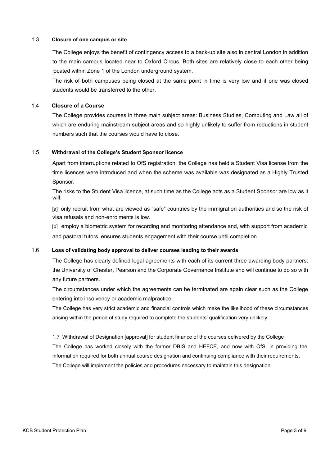## 1.3 **Closure of one campus or site**

The College enjoys the benefit of contingency access to a back-up site also in central London in addition to the main campus located near to Oxford Circus. Both sites are relatively close to each other being located within Zone 1 of the London underground system.

The risk of both campuses being closed at the same point in time is very low and if one was closed students would be transferred to the other.

#### 1.4 **Closure of a Course**

The College provides courses in three main subject areas: Business Studies, Computing and Law all of which are enduring mainstream subject areas and so highly unlikely to suffer from reductions in student numbers such that the courses would have to close.

#### 1.5 **Withdrawal of the College's Student Sponsor licence**

Apart from interruptions related to OfS registration, the College has held a Student Visa license from the time licences were introduced and when the scheme was available was designated as a Highly Trusted Sponsor.

The risks to the Student Visa licence, at such time as the College acts as a Student Sponsor are low as it will:

[a] only recruit from what are viewed as "safe" countries by the immigration authorities and so the risk of visa refusals and non-enrolments is low.

[b] employ a biometric system for recording and monitoring attendance and, with support from academic and pastoral tutors, ensures students engagement with their course until completion.

#### 1.6 **Loss of validating body approval to deliver courses leading to their awards**

The College has clearly defined legal agreements with each of its current three awarding body partners: the University of Chester, Pearson and the Corporate Governance Institute and will continue to do so with any future partners.

The circumstances under which the agreements can be terminated are again clear such as the College entering into insolvency or academic malpractice.

The College has very strict academic and financial controls which make the likelihood of these circumstances arising within the period of study required to complete the students' qualification very unlikely.

1.7 Withdrawal of Designation [approval] for student finance of the courses delivered by the College The College has worked closely with the former DBIS and HEFCE, and now with OfS, in providing the information required for both annual course designation and continuing compliance with their requirements. The College will implement the policies and procedures necessary to maintain this designation.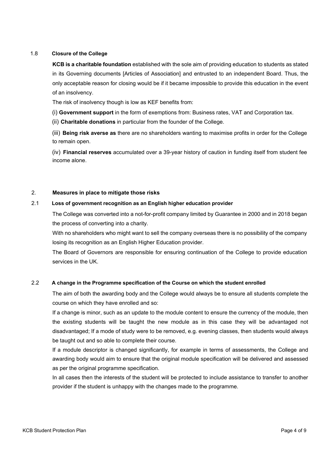## 1.8 **Closure of the College**

**KCB is a charitable foundation** established with the sole aim of providing education to students as stated in its Governing documents [Articles of Association] and entrusted to an independent Board. Thus, the only acceptable reason for closing would be if it became impossible to provide this education in the event of an insolvency.

The risk of insolvency though is low as KEF benefits from:

(i) **Government support** in the form of exemptions from: Business rates, VAT and Corporation tax.

(ii) **Charitable donations** in particular from the founder of the College.

(iii) **Being risk averse as** there are no shareholders wanting to maximise profits in order for the College to remain open.

(iv) **Financial reserves** accumulated over a 39-year history of caution in funding itself from student fee income alone.

## 2. **Measures in place to mitigate those risks**

#### 2.1 **Loss of government recognition as an English higher education provider**

The College was converted into a not-for-profit company limited by Guarantee in 2000 and in 2018 began the process of converting into a charity.

With no shareholders who might want to sell the company overseas there is no possibility of the company losing its recognition as an English Higher Education provider.

The Board of Governors are responsible for ensuring continuation of the College to provide education services in the UK.

## 2.2 **A change in the Programme specification of the Course on which the student enrolled**

The aim of both the awarding body and the College would always be to ensure all students complete the course on which they have enrolled and so:

If a change is minor, such as an update to the module content to ensure the currency of the module, then the existing students will be taught the new module as in this case they will be advantaged not disadvantaged; If a mode of study were to be removed, e.g. evening classes, then students would always be taught out and so able to complete their course.

If a module descriptor is changed significantly, for example in terms of assessments, the College and awarding body would aim to ensure that the original module specification will be delivered and assessed as per the original programme specification.

In all cases then the interests of the student will be protected to include assistance to transfer to another provider if the student is unhappy with the changes made to the programme.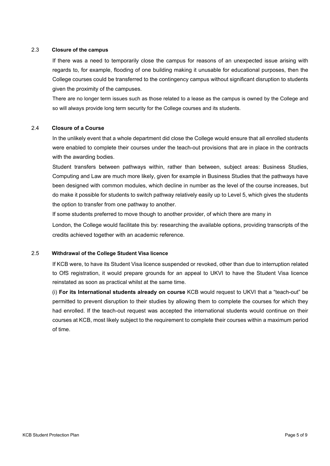#### 2.3 **Closure of the campus**

If there was a need to temporarily close the campus for reasons of an unexpected issue arising with regards to, for example, flooding of one building making it unusable for educational purposes, then the College courses could be transferred to the contingency campus without significant disruption to students given the proximity of the campuses.

There are no longer term issues such as those related to a lease as the campus is owned by the College and so will always provide long term security for the College courses and its students.

## 2.4 **Closure of a Course**

In the unlikely event that a whole department did close the College would ensure that all enrolled students were enabled to complete their courses under the teach-out provisions that are in place in the contracts with the awarding bodies.

Student transfers between pathways within, rather than between, subject areas: Business Studies, Computing and Law are much more likely, given for example in Business Studies that the pathways have been designed with common modules, which decline in number as the level of the course increases, but do make it possible for students to switch pathway relatively easily up to Level 5, which gives the students the option to transfer from one pathway to another.

If some students preferred to move though to another provider, of which there are many in

London, the College would facilitate this by: researching the available options, providing transcripts of the credits achieved together with an academic reference.

#### 2.5 **Withdrawal of the College Student Visa licence**

If KCB were, to have its Student Visa licence suspended or revoked, other than due to interruption related to OfS registration, it would prepare grounds for an appeal to UKVI to have the Student Visa licence reinstated as soon as practical whilst at the same time.

(i) **For its International students already on course** KCB would request to UKVI that a "teach-out" be permitted to prevent disruption to their studies by allowing them to complete the courses for which they had enrolled. If the teach-out request was accepted the international students would continue on their courses at KCB, most likely subject to the requirement to complete their courses within a maximum period of time.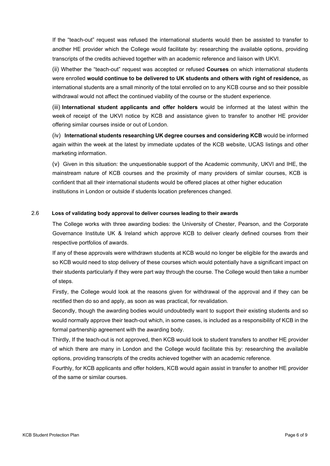If the "teach-out" request was refused the international students would then be assisted to transfer to another HE provider which the College would facilitate by: researching the available options, providing transcripts of the credits achieved together with an academic reference and liaison with UKVI.

(ii) Whether the "teach-out" request was accepted or refused **Courses** on which international students were enrolled **would continue to be delivered to UK students and others with right of residence,** as international students are a small minority of the total enrolled on to any KCB course and so their possible withdrawal would not affect the continued viability of the course or the student experience.

(iii) **International student applicants and offer holders** would be informed at the latest within the week of receipt of the UKVI notice by KCB and assistance given to transfer to another HE provider offering similar courses inside or out of London.

(iv) **International students researching UK degree courses and considering KCB** would be informed again within the week at the latest by immediate updates of the KCB website, UCAS listings and other marketing information.

(v) Given in this situation: the unquestionable support of the Academic community, UKVI and IHE, the mainstream nature of KCB courses and the proximity of many providers of similar courses, KCB is confident that all their international students would be offered places at other higher education institutions in London or outside if students location preferences changed.

## 2.6 **Loss of validating body approval to deliver courses leading to their awards**

The College works with three awarding bodies: the University of Chester, Pearson, and the Corporate Governance Institute UK & Ireland which approve KCB to deliver clearly defined courses from their respective portfolios of awards.

If any of these approvals were withdrawn students at KCB would no longer be eligible for the awards and so KCB would need to stop delivery of these courses which would potentially have a significant impact on their students particularly if they were part way through the course. The College would then take a number of steps.

Firstly, the College would look at the reasons given for withdrawal of the approval and if they can be rectified then do so and apply, as soon as was practical, for revalidation.

Secondly, though the awarding bodies would undoubtedly want to support their existing students and so would normally approve their teach-out which, in some cases, is included as a responsibility of KCB in the formal partnership agreement with the awarding body.

Thirdly, If the teach-out is not approved, then KCB would look to student transfers to another HE provider of which there are many in London and the College would facilitate this by: researching the available options, providing transcripts of the credits achieved together with an academic reference.

Fourthly, for KCB applicants and offer holders, KCB would again assist in transfer to another HE provider of the same or similar courses.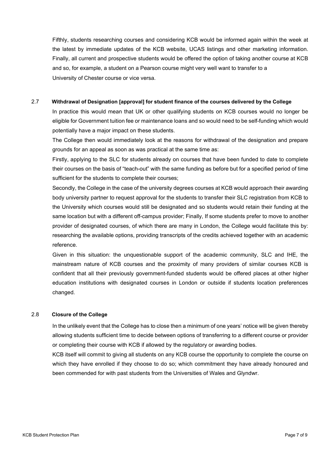Fifthly, students researching courses and considering KCB would be informed again within the week at the latest by immediate updates of the KCB website, UCAS listings and other marketing information. Finally, all current and prospective students would be offered the option of taking another course at KCB and so, for example, a student on a Pearson course might very well want to transfer to a University of Chester course or vice versa.

## 2.7 **Withdrawal of Designation [approval] for student finance of the courses delivered by the College**

In practice this would mean that UK or other qualifying students on KCB courses would no longer be eligible for Government tuition fee or maintenance loans and so would need to be self-funding which would potentially have a major impact on these students.

The College then would immediately look at the reasons for withdrawal of the designation and prepare grounds for an appeal as soon as was practical at the same time as:

Firstly, applying to the SLC for students already on courses that have been funded to date to complete their courses on the basis of "teach-out" with the same funding as before but for a specified period of time sufficient for the students to complete their courses;

Secondly, the College in the case of the university degrees courses at KCB would approach their awarding body university partner to request approval for the students to transfer their SLC registration from KCB to the University which courses would still be designated and so students would retain their funding at the same location but with a different off-campus provider; Finally, If some students prefer to move to another provider of designated courses, of which there are many in London, the College would facilitate this by: researching the available options, providing transcripts of the credits achieved together with an academic reference.

Given in this situation: the unquestionable support of the academic community, SLC and IHE, the mainstream nature of KCB courses and the proximity of many providers of similar courses KCB is confident that all their previously government-funded students would be offered places at other higher education institutions with designated courses in London or outside if students location preferences changed.

## 2.8 **Closure of the College**

In the unlikely event that the College has to close then a minimum of one years' notice will be given thereby allowing students sufficient time to decide between options of transferring to a different course or provider or completing their course with KCB if allowed by the regulatory or awarding bodies.

KCB itself will commit to giving all students on any KCB course the opportunity to complete the course on which they have enrolled if they choose to do so; which commitment they have already honoured and been commended for with past students from the Universities of Wales and Glyndwr.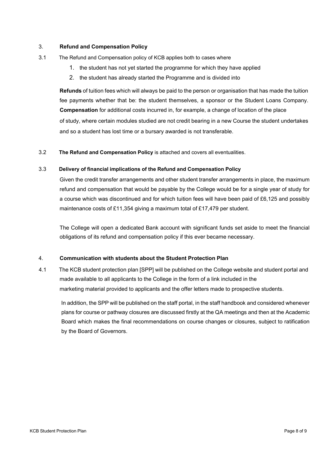## 3. **Refund and Compensation Policy**

- 3.1 The Refund and Compensation policy of KCB applies both to cases where
	- 1. the student has not yet started the programme for which they have applied
	- 2. the student has already started the Programme and is divided into

**Refunds** of tuition fees which will always be paid to the person or organisation that has made the tuition fee payments whether that be: the student themselves, a sponsor or the Student Loans Company. **Compensation** for additional costs incurred in, for example, a change of location of the place of study, where certain modules studied are not credit bearing in a new Course the student undertakes and so a student has lost time or a bursary awarded is not transferable.

3.2 **The Refund and Compensation Policy** is attached and covers all eventualities.

#### 3.3 **Delivery of financial implications of the Refund and Compensation Policy**

Given the credit transfer arrangements and other student transfer arrangements in place, the maximum refund and compensation that would be payable by the College would be for a single year of study for a course which was discontinued and for which tuition fees will have been paid of £6,125 and possibly maintenance costs of £11,354 giving a maximum total of £17,479 per student.

The College will open a dedicated Bank account with significant funds set aside to meet the financial obligations of its refund and compensation policy if this ever became necessary.

#### 4. **Communication with students about the Student Protection Plan**

4.1 The KCB student protection plan [SPP] will be published on the College website and student portal and made available to all applicants to the College in the form of a link included in the marketing material provided to applicants and the offer letters made to prospective students.

In addition, the SPP will be published on the staff portal, in the staff handbook and considered whenever plans for course or pathway closures are discussed firstly at the QA meetings and then at the Academic Board which makes the final recommendations on course changes or closures, subject to ratification by the Board of Governors.